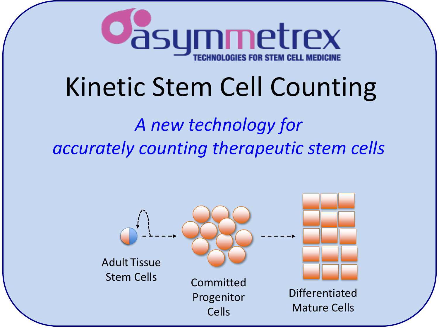

## Kinetic Stem Cell Counting

## *A new technology for accurately counting therapeutic stem cells*

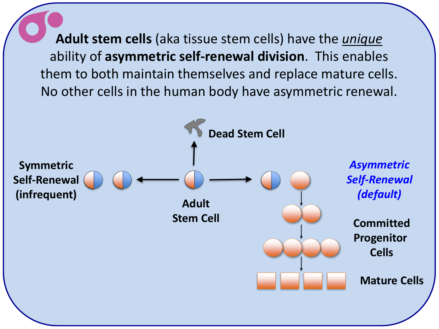**Adult stem cells** (aka tissue stem cells) have the *unique* ability of **asymmetric self-renewal division**. This enables them to both maintain themselves and replace mature cells. No other cells in the human body have asymmetric renewal.

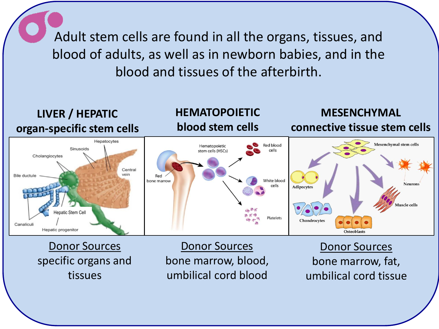Adult stem cells are found in all the organs, tissues, and blood of adults, as well as in newborn babies, and in the blood and tissues of the afterbirth.

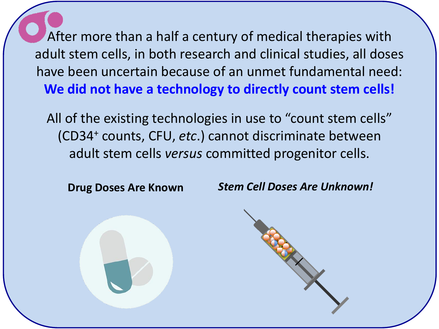After more than a half a century of medical therapies with adult stem cells, in both research and clinical studies, all doses have been uncertain because of an unmet fundamental need: **We did not have a technology to directly count stem cells!**

All of the existing technologies in use to "count stem cells" (CD34<sup>+</sup> counts, CFU, *etc*.) cannot discriminate between adult stem cells *versus* committed progenitor cells.

**Drug Doses Are Known** *Stem Cell Doses Are Unknown!*

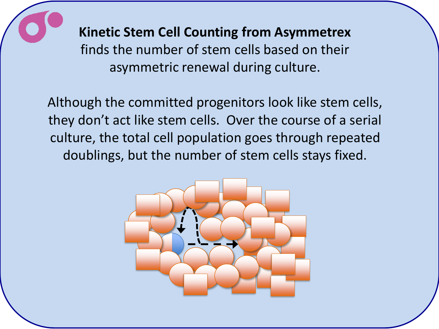

**Kinetic Stem Cell Counting from Asymmetrex** finds the number of stem cells based on their asymmetric renewal during culture.

Although the committed progenitors look like stem cells, they don't act like stem cells. Over the course of a serial culture, the total cell population goes through repeated doublings, but the number of stem cells stays fixed.

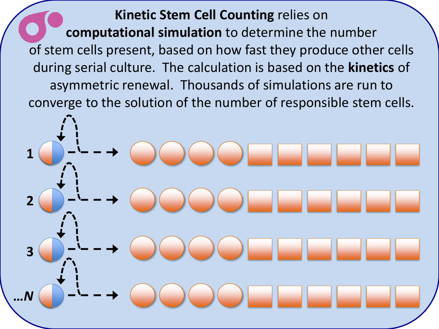**Kinetic Stem Cell Counting** relies on **computational simulation** to determine the number of stem cells present, based on how fast they produce other cells during serial culture. The calculation is based on the **kinetics** of asymmetric renewal. Thousands of simulations are run to converge to the solution of the number of responsible stem cells.

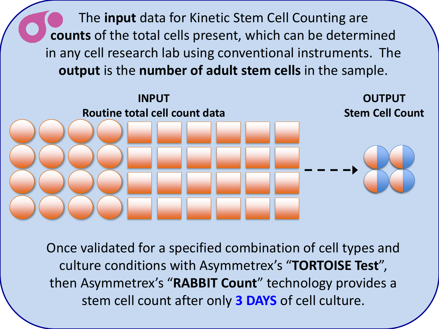The **input** data for Kinetic Stem Cell Counting are **counts** of the total cells present, which can be determined in any cell research lab using conventional instruments. The **output** is the **number of adult stem cells** in the sample.



Once validated for a specified combination of cell types and culture conditions with Asymmetrex's "**TORTOISE Test**", then Asymmetrex's "**RABBIT Count**" technology provides a stem cell count after only **3 DAYS** of cell culture.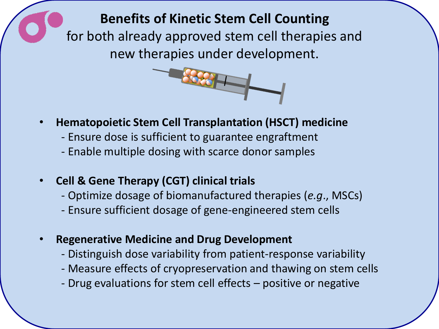**Benefits of Kinetic Stem Cell Counting**  for both already approved stem cell therapies and new therapies under development.



- **Hematopoietic Stem Cell Transplantation (HSCT) medicine**
	- Ensure dose is sufficient to guarantee engraftment
	- Enable multiple dosing with scarce donor samples
- **Cell & Gene Therapy (CGT) clinical trials**
	- Optimize dosage of biomanufactured therapies (*e.g*., MSCs)
	- Ensure sufficient dosage of gene-engineered stem cells
- **Regenerative Medicine and Drug Development**
	- Distinguish dose variability from patient-response variability
	- Measure effects of cryopreservation and thawing on stem cells
	- Drug evaluations for stem cell effects positive or negative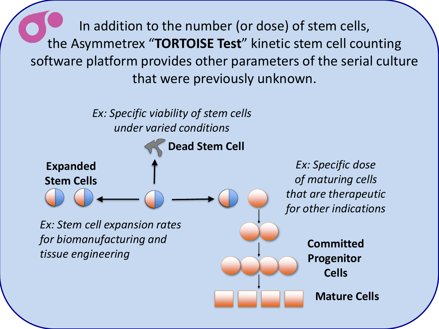In addition to the number (or dose) of stem cells, the Asymmetrex "**TORTOISE Test**" kinetic stem cell counting software platform provides other parameters of the serial culture that were previously unknown.

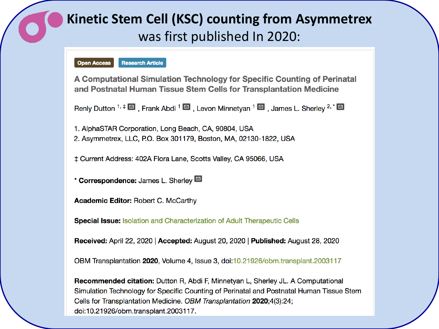## **Kinetic Stem Cell (KSC) counting from Asymmetrex** was first published In 2020:



A Computational Simulation Technology for Specific Counting of Perinatal and Postnatal Human Tissue Stem Cells for Transplantation Medicine

Renly Dutton <sup>1,  $\ddagger \boxtimes$ </sup>, Frank Abdi<sup>1</sup>  $\boxtimes$ , Levon Minnetyan <sup>1</sup>  $\boxtimes$ , James L. Sherley <sup>2, \*</sup>  $\boxtimes$ 

1. AlphaSTAR Corporation, Long Beach, CA, 90804, USA

2. Asymmetrex, LLC, P.O. Box 301179, Boston, MA, 02130-1822, USA

‡ Current Address: 402A Flora Lane, Scotts Valley, CA 95066, USA

\* Correspondence: James L. Sherley [9]

**Academic Editor: Robert C. McCarthy** 

**Special Issue: Isolation and Characterization of Adult Therapeutic Cells** 

Received: April 22, 2020 | Accepted: August 20, 2020 | Published: August 28, 2020

OBM Transplantation 2020, Volume 4, Issue 3, doi:10.21926/obm.transplant.2003117

**Recommended citation:** Dutton R, Abdi F, Minnetyan L, Sherley JL. A Computational Simulation Technology for Specific Counting of Perinatal and Postnatal Human Tissue Stem Cells for Transplantation Medicine. OBM Transplantation 2020;4(3):24; doi:10.21926/obm.transplant.2003117.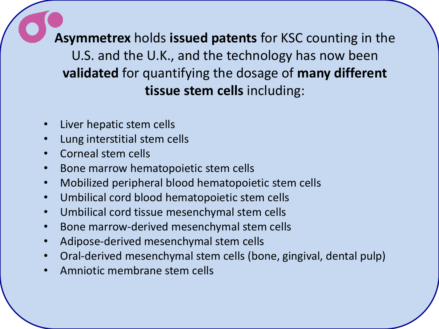**Asymmetrex** holds **issued patents** for KSC counting in the U.S. and the U.K., and the technology has now been **validated** for quantifying the dosage of **many different tissue stem cells** including:

- Liver hepatic stem cells
- Lung interstitial stem cells
- Corneal stem cells
- Bone marrow hematopoietic stem cells
- Mobilized peripheral blood hematopoietic stem cells
- Umbilical cord blood hematopoietic stem cells
- Umbilical cord tissue mesenchymal stem cells
- Bone marrow-derived mesenchymal stem cells
- Adipose-derived mesenchymal stem cells
- Oral-derived mesenchymal stem cells (bone, gingival, dental pulp)
- Amniotic membrane stem cells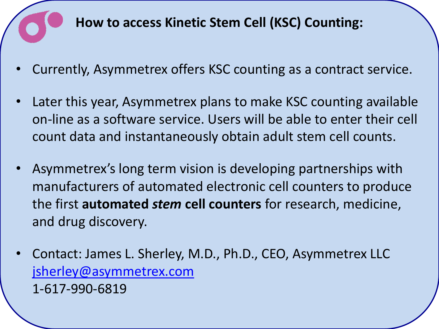

- Currently, Asymmetrex offers KSC counting as a contract service.
- Later this year, Asymmetrex plans to make KSC counting available on-line as a software service. Users will be able to enter their cell count data and instantaneously obtain adult stem cell counts.
- Asymmetrex's long term vision is developing partnerships with manufacturers of automated electronic cell counters to produce the first **automated** *stem* **cell counters** for research, medicine, and drug discovery.
- Contact: James L. Sherley, M.D., Ph.D., CEO, Asymmetrex LLC [jsherley@asymmetrex.com](mailto:jsherley@asymmetrex.com) 1-617-990-6819